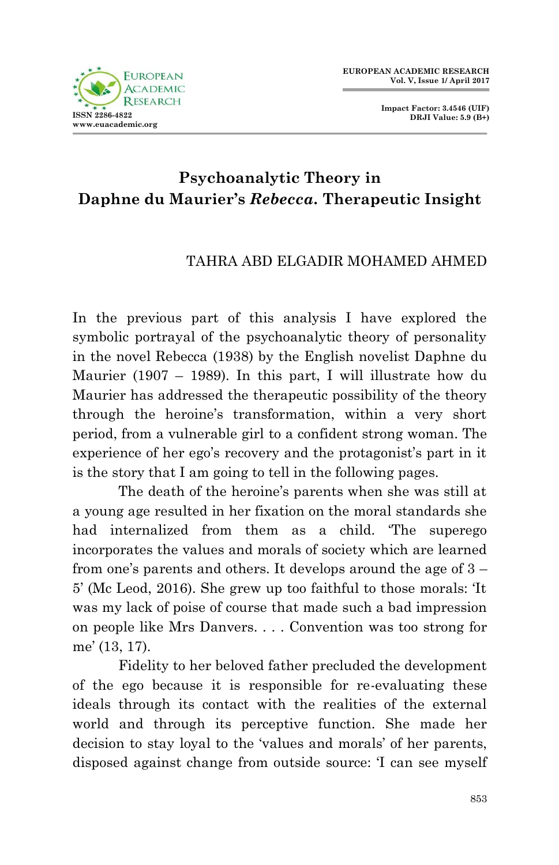

**Impact Factor: 3.4546 (UIF) DRJI Value: 5.9 (B+)**

## **Psychoanalytic Theory in Daphne du Maurier's** *Rebecca.* **Therapeutic Insight**

## TAHRA ABD ELGADIR MOHAMED AHMED

In the previous part of this analysis I have explored the symbolic portrayal of the psychoanalytic theory of personality in the novel Rebecca (1938) by the English novelist Daphne du Maurier (1907 – 1989). In this part, I will illustrate how du Maurier has addressed the therapeutic possibility of the theory through the heroine's transformation, within a very short period, from a vulnerable girl to a confident strong woman. The experience of her ego's recovery and the protagonist's part in it is the story that I am going to tell in the following pages.

 The death of the heroine's parents when she was still at a young age resulted in her fixation on the moral standards she had internalized from them as a child. The superego incorporates the values and morals of society which are learned from one's parents and others. It develops around the age of 3 – 5' (Mc Leod, 2016). She grew up too faithful to those morals: ‗It was my lack of poise of course that made such a bad impression on people like Mrs Danvers. . . . Convention was too strong for me' (13, 17).

 Fidelity to her beloved father precluded the development of the ego because it is responsible for re-evaluating these ideals through its contact with the realities of the external world and through its perceptive function. She made her decision to stay loyal to the 'values and morals' of her parents, disposed against change from outside source: 'I can see myself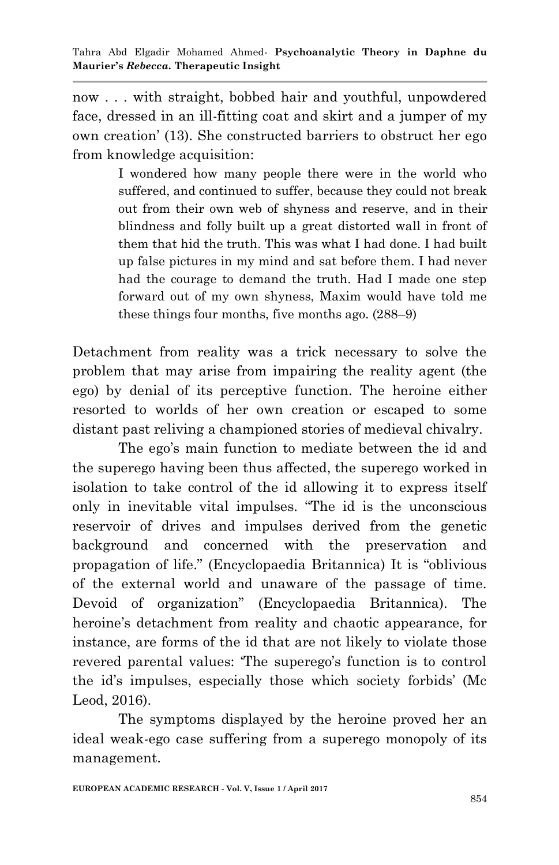now . . . with straight, bobbed hair and youthful, unpowdered face, dressed in an ill-fitting coat and skirt and a jumper of my own creation' (13). She constructed barriers to obstruct her ego from knowledge acquisition:

> I wondered how many people there were in the world who suffered, and continued to suffer, because they could not break out from their own web of shyness and reserve, and in their blindness and folly built up a great distorted wall in front of them that hid the truth. This was what I had done. I had built up false pictures in my mind and sat before them. I had never had the courage to demand the truth. Had I made one step forward out of my own shyness, Maxim would have told me these things four months, five months ago. (288–9)

Detachment from reality was a trick necessary to solve the problem that may arise from impairing the reality agent (the ego) by denial of its perceptive function. The heroine either resorted to worlds of her own creation or escaped to some distant past reliving a championed stories of medieval chivalry.

 The ego's main function to mediate between the id and the superego having been thus affected, the superego worked in isolation to take control of the id allowing it to express itself only in inevitable vital impulses. "The id is the unconscious reservoir of drives and impulses derived from the genetic background and concerned with the preservation and propagation of life." (Encyclopaedia Britannica) It is "oblivious of the external world and unaware of the passage of time. Devoid of organization" (Encyclopaedia Britannica). The heroine's detachment from reality and chaotic appearance, for instance, are forms of the id that are not likely to violate those revered parental values: "The superego's function is to control the id's impulses, especially those which society forbids' (Mc Leod, 2016).

 The symptoms displayed by the heroine proved her an ideal weak-ego case suffering from a superego monopoly of its management.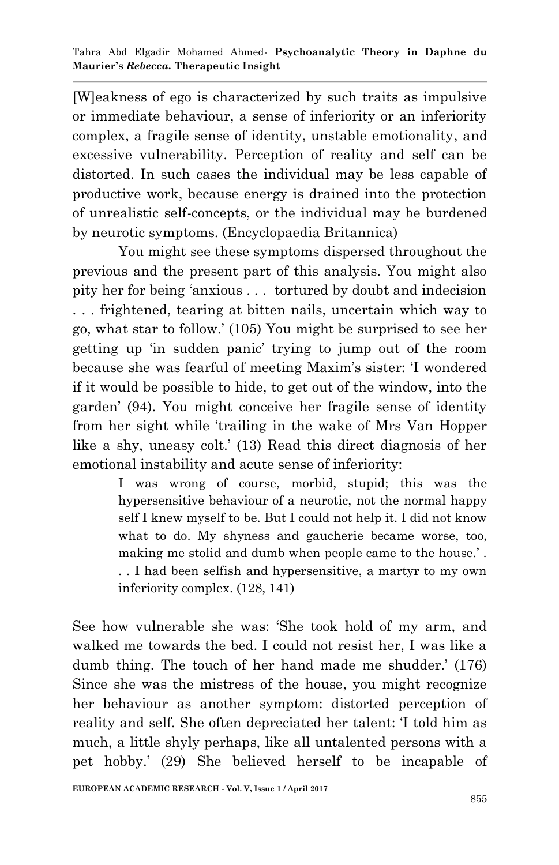[W]eakness of ego is characterized by such traits as impulsive or immediate behaviour, a sense of inferiority or an inferiority complex, a fragile sense of identity, unstable emotionality, and excessive vulnerability. Perception of reality and self can be distorted. In such cases the individual may be less capable of productive work, because energy is drained into the protection of unrealistic self-concepts, or the individual may be burdened by neurotic symptoms. (Encyclopaedia Britannica)

You might see these symptoms dispersed throughout the previous and the present part of this analysis. You might also pity her for being ‗anxious . . . tortured by doubt and indecision . . . frightened, tearing at bitten nails, uncertain which way to go, what star to follow.' (105) You might be surprised to see her getting up 'in sudden panic' trying to jump out of the room because she was fearful of meeting Maxim's sister: ‗I wondered if it would be possible to hide, to get out of the window, into the garden' (94). You might conceive her fragile sense of identity from her sight while 'trailing in the wake of Mrs Van Hopper like a shy, uneasy colt.' (13) Read this direct diagnosis of her emotional instability and acute sense of inferiority:

I was wrong of course, morbid, stupid; this was the hypersensitive behaviour of a neurotic, not the normal happy self I knew myself to be. But I could not help it. I did not know what to do. My shyness and gaucherie became worse, too, making me stolid and dumb when people came to the house.' . . . I had been selfish and hypersensitive, a martyr to my own

inferiority complex. (128, 141)

See how vulnerable she was: 'She took hold of my arm, and walked me towards the bed. I could not resist her, I was like a dumb thing. The touch of her hand made me shudder.' (176) Since she was the mistress of the house, you might recognize her behaviour as another symptom: distorted perception of reality and self. She often depreciated her talent: 'I told him as much, a little shyly perhaps, like all untalented persons with a pet hobby.' (29) She believed herself to be incapable of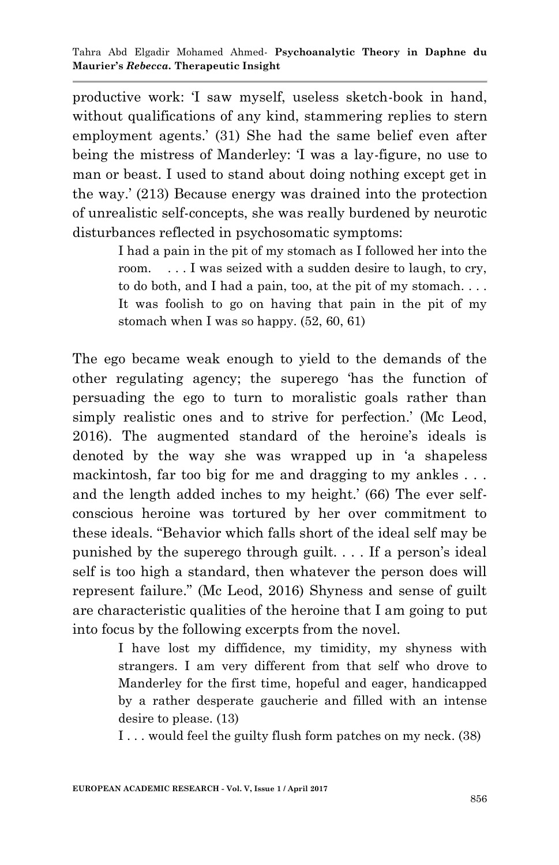productive work: ‗I saw myself, useless sketch-book in hand, without qualifications of any kind, stammering replies to stern employment agents.' (31) She had the same belief even after being the mistress of Manderley: T was a lay-figure, no use to man or beast. I used to stand about doing nothing except get in the way.' (213) Because energy was drained into the protection of unrealistic self-concepts, she was really burdened by neurotic disturbances reflected in psychosomatic symptoms:

> I had a pain in the pit of my stomach as I followed her into the room. . . . I was seized with a sudden desire to laugh, to cry, to do both, and I had a pain, too, at the pit of my stomach. . . . It was foolish to go on having that pain in the pit of my stomach when I was so happy. (52, 60, 61)

The ego became weak enough to yield to the demands of the other regulating agency; the superego 'has the function of persuading the ego to turn to moralistic goals rather than simply realistic ones and to strive for perfection.' (Mc Leod, 2016). The augmented standard of the heroine's ideals is denoted by the way she was wrapped up in 'a shapeless mackintosh, far too big for me and dragging to my ankles . . . and the length added inches to my height.' (66) The ever selfconscious heroine was tortured by her over commitment to these ideals. "Behavior which falls short of the ideal self may be punished by the superego through guilt. . . . If a person's ideal self is too high a standard, then whatever the person does will represent failure." (Mc Leod, 2016) Shyness and sense of guilt are characteristic qualities of the heroine that I am going to put into focus by the following excerpts from the novel.

> I have lost my diffidence, my timidity, my shyness with strangers. I am very different from that self who drove to Manderley for the first time, hopeful and eager, handicapped by a rather desperate gaucherie and filled with an intense desire to please. (13)

I . . . would feel the guilty flush form patches on my neck. (38)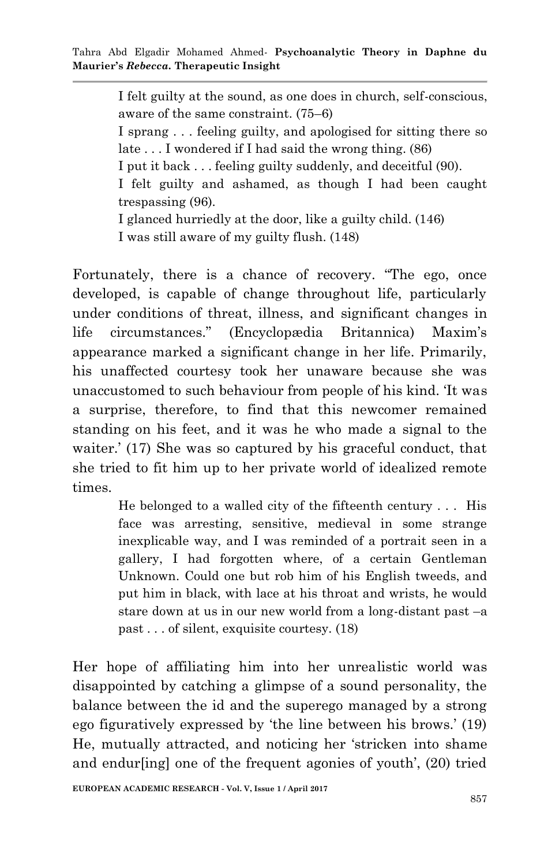I felt guilty at the sound, as one does in church, self-conscious, aware of the same constraint. (75–6) I sprang . . . feeling guilty, and apologised for sitting there so late . . . I wondered if I had said the wrong thing. (86) I put it back . . . feeling guilty suddenly, and deceitful (90). I felt guilty and ashamed, as though I had been caught trespassing (96). I glanced hurriedly at the door, like a guilty child. (146)

I was still aware of my guilty flush. (148)

Fortunately, there is a chance of recovery. "The ego, once developed, is capable of change throughout life, particularly under conditions of threat, illness, and significant changes in life circumstances.‖ (Encyclopædia Britannica) Maxim's appearance marked a significant change in her life. Primarily, his unaffected courtesy took her unaware because she was unaccustomed to such behaviour from people of his kind. ‗It was a surprise, therefore, to find that this newcomer remained standing on his feet, and it was he who made a signal to the waiter.' (17) She was so captured by his graceful conduct, that she tried to fit him up to her private world of idealized remote times.

> He belonged to a walled city of the fifteenth century . . . His face was arresting, sensitive, medieval in some strange inexplicable way, and I was reminded of a portrait seen in a gallery, I had forgotten where, of a certain Gentleman Unknown. Could one but rob him of his English tweeds, and put him in black, with lace at his throat and wrists, he would stare down at us in our new world from a long-distant past –a past . . . of silent, exquisite courtesy. (18)

Her hope of affiliating him into her unrealistic world was disappointed by catching a glimpse of a sound personality, the balance between the id and the superego managed by a strong ego figuratively expressed by 'the line between his brows.' (19) He, mutually attracted, and noticing her 'stricken into shame and endur[ing] one of the frequent agonies of youth', (20) tried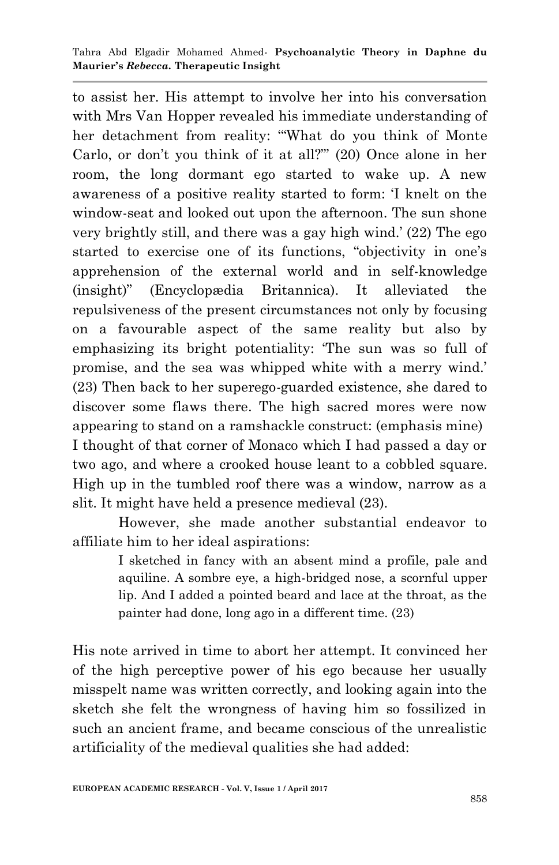to assist her. His attempt to involve her into his conversation with Mrs Van Hopper revealed his immediate understanding of her detachment from reality: "What do you think of Monte Carlo, or don't you think of it at all?"' (20) Once alone in her room, the long dormant ego started to wake up. A new awareness of a positive reality started to form: T knelt on the window-seat and looked out upon the afternoon. The sun shone very brightly still, and there was a gay high wind.' (22) The ego started to exercise one of its functions, "objectivity in one's apprehension of the external world and in self-knowledge (insight)‖ (Encyclopædia Britannica). It alleviated the repulsiveness of the present circumstances not only by focusing on a favourable aspect of the same reality but also by emphasizing its bright potentiality: 'The sun was so full of promise, and the sea was whipped white with a merry wind.' (23) Then back to her superego-guarded existence, she dared to discover some flaws there. The high sacred mores were now appearing to stand on a ramshackle construct: (emphasis mine) I thought of that corner of Monaco which I had passed a day or two ago, and where a crooked house leant to a cobbled square. High up in the tumbled roof there was a window, narrow as a slit. It might have held a presence medieval (23).

However, she made another substantial endeavor to affiliate him to her ideal aspirations:

> I sketched in fancy with an absent mind a profile, pale and aquiline. A sombre eye, a high-bridged nose, a scornful upper lip. And I added a pointed beard and lace at the throat, as the painter had done, long ago in a different time. (23)

His note arrived in time to abort her attempt. It convinced her of the high perceptive power of his ego because her usually misspelt name was written correctly, and looking again into the sketch she felt the wrongness of having him so fossilized in such an ancient frame, and became conscious of the unrealistic artificiality of the medieval qualities she had added: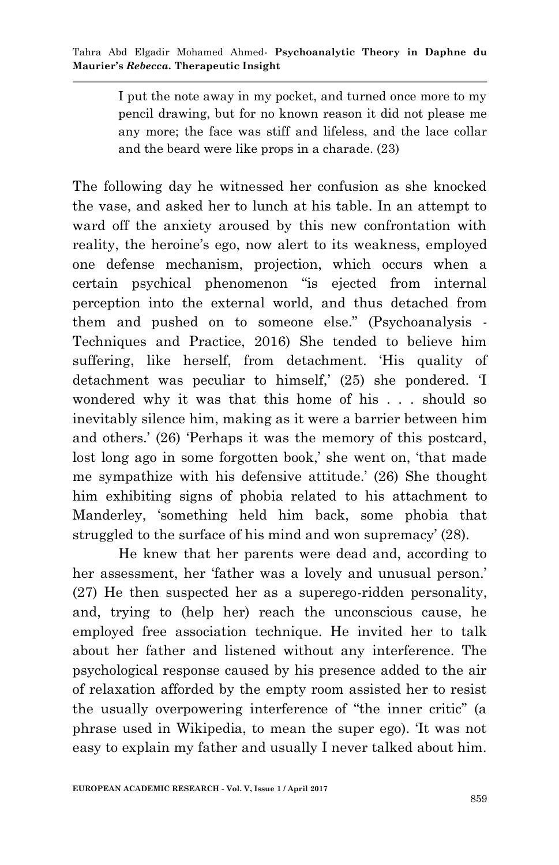I put the note away in my pocket, and turned once more to my pencil drawing, but for no known reason it did not please me any more; the face was stiff and lifeless, and the lace collar and the beard were like props in a charade. (23)

The following day he witnessed her confusion as she knocked the vase, and asked her to lunch at his table. In an attempt to ward off the anxiety aroused by this new confrontation with reality, the heroine's ego, now alert to its weakness, employed one defense mechanism, projection, which occurs when a certain psychical phenomenon "is ejected from internal perception into the external world, and thus detached from them and pushed on to someone else." (Psychoanalysis -Techniques and Practice, 2016) She tended to believe him suffering, like herself, from detachment. His quality of detachment was peculiar to himself,' (25) she pondered. 'I wondered why it was that this home of his . . . should so inevitably silence him, making as it were a barrier between him and others.' (26) 'Perhaps it was the memory of this postcard, lost long ago in some forgotten book,' she went on, 'that made me sympathize with his defensive attitude.' (26) She thought him exhibiting signs of phobia related to his attachment to Manderley, 'something held him back, some phobia that struggled to the surface of his mind and won supremacy' (28).

 He knew that her parents were dead and, according to her assessment, her 'father was a lovely and unusual person.' (27) He then suspected her as a superego-ridden personality, and, trying to (help her) reach the unconscious cause, he employed free association technique. He invited her to talk about her father and listened without any interference. The psychological response caused by his presence added to the air of relaxation afforded by the empty room assisted her to resist the usually overpowering interference of "the inner critic" (a phrase used in Wikipedia, to mean the super ego). ‗It was not easy to explain my father and usually I never talked about him.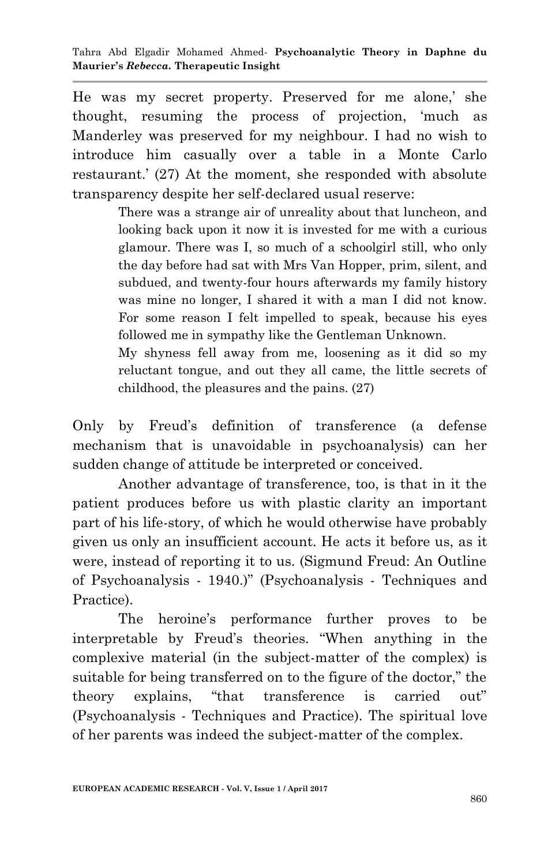He was my secret property. Preserved for me alone,' she thought, resuming the process of projection, 'much as Manderley was preserved for my neighbour. I had no wish to introduce him casually over a table in a Monte Carlo restaurant.' (27) At the moment, she responded with absolute transparency despite her self-declared usual reserve:

> There was a strange air of unreality about that luncheon, and looking back upon it now it is invested for me with a curious glamour. There was I, so much of a schoolgirl still, who only the day before had sat with Mrs Van Hopper, prim, silent, and subdued, and twenty-four hours afterwards my family history was mine no longer, I shared it with a man I did not know. For some reason I felt impelled to speak, because his eyes followed me in sympathy like the Gentleman Unknown.

> My shyness fell away from me, loosening as it did so my reluctant tongue, and out they all came, the little secrets of childhood, the pleasures and the pains. (27)

Only by Freud's definition of transference (a defense mechanism that is unavoidable in psychoanalysis) can her sudden change of attitude be interpreted or conceived.

Another advantage of transference, too, is that in it the patient produces before us with plastic clarity an important part of his life-story, of which he would otherwise have probably given us only an insufficient account. He acts it before us, as it were, instead of reporting it to us. (Sigmund Freud: An Outline of Psychoanalysis - 1940.)" (Psychoanalysis - Techniques and Practice).

 The heroine's performance further proves to be interpretable by Freud's theories. "When anything in the complexive material (in the subject-matter of the complex) is suitable for being transferred on to the figure of the doctor," the theory explains, "that transference is carried out" (Psychoanalysis - Techniques and Practice). The spiritual love of her parents was indeed the subject-matter of the complex.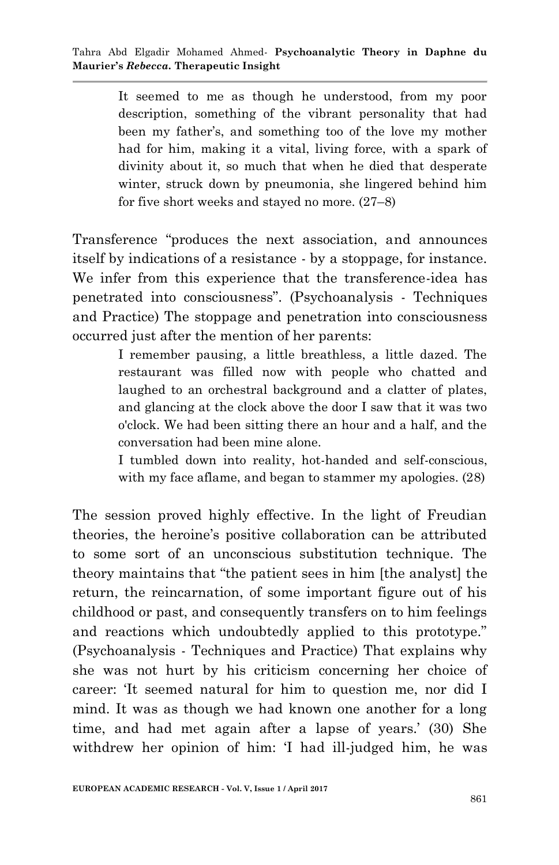It seemed to me as though he understood, from my poor description, something of the vibrant personality that had been my father's, and something too of the love my mother had for him, making it a vital, living force, with a spark of divinity about it, so much that when he died that desperate winter, struck down by pneumonia, she lingered behind him for five short weeks and stayed no more. (27–8)

Transference "produces the next association, and announces itself by indications of a resistance - by a stoppage, for instance. We infer from this experience that the transference-idea has penetrated into consciousness". (Psychoanalysis - Techniques and Practice) The stoppage and penetration into consciousness occurred just after the mention of her parents:

> I remember pausing, a little breathless, a little dazed. The restaurant was filled now with people who chatted and laughed to an orchestral background and a clatter of plates, and glancing at the clock above the door I saw that it was two o'clock. We had been sitting there an hour and a half, and the conversation had been mine alone.

> I tumbled down into reality, hot-handed and self-conscious, with my face aflame, and began to stammer my apologies. (28)

The session proved highly effective. In the light of Freudian theories, the heroine's positive collaboration can be attributed to some sort of an unconscious substitution technique. The theory maintains that "the patient sees in him [the analyst] the return, the reincarnation, of some important figure out of his childhood or past, and consequently transfers on to him feelings and reactions which undoubtedly applied to this prototype." (Psychoanalysis - Techniques and Practice) That explains why she was not hurt by his criticism concerning her choice of career: ‗It seemed natural for him to question me, nor did I mind. It was as though we had known one another for a long time, and had met again after a lapse of years.' (30) She withdrew her opinion of him: 'I had ill-judged him, he was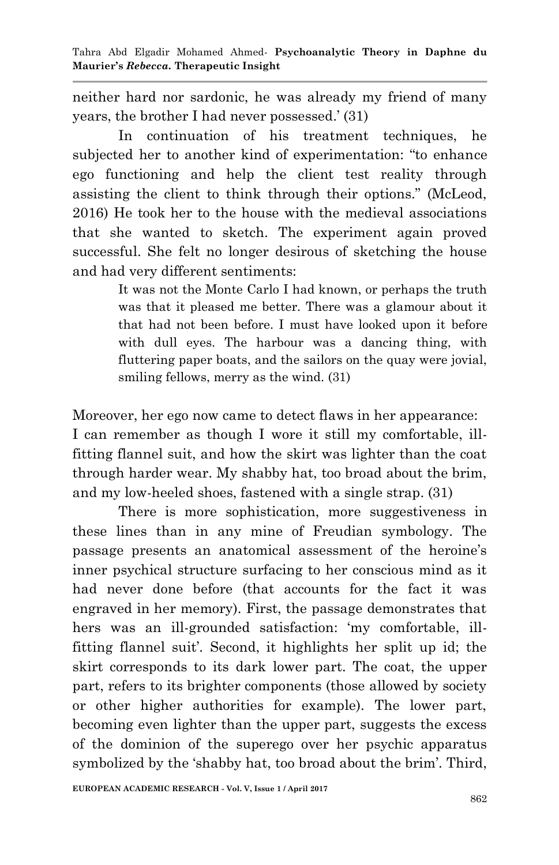neither hard nor sardonic, he was already my friend of many years, the brother I had never possessed.' (31)

 In continuation of his treatment techniques, he subjected her to another kind of experimentation: "to enhance ego functioning and help the client test reality through assisting the client to think through their options." (McLeod, 2016) He took her to the house with the medieval associations that she wanted to sketch. The experiment again proved successful. She felt no longer desirous of sketching the house and had very different sentiments:

> It was not the Monte Carlo I had known, or perhaps the truth was that it pleased me better. There was a glamour about it that had not been before. I must have looked upon it before with dull eyes. The harbour was a dancing thing, with fluttering paper boats, and the sailors on the quay were jovial, smiling fellows, merry as the wind. (31)

Moreover, her ego now came to detect flaws in her appearance: I can remember as though I wore it still my comfortable, illfitting flannel suit, and how the skirt was lighter than the coat through harder wear. My shabby hat, too broad about the brim, and my low-heeled shoes, fastened with a single strap. (31)

There is more sophistication, more suggestiveness in these lines than in any mine of Freudian symbology. The passage presents an anatomical assessment of the heroine's inner psychical structure surfacing to her conscious mind as it had never done before (that accounts for the fact it was engraved in her memory). First, the passage demonstrates that hers was an ill-grounded satisfaction: 'my comfortable, illfitting flannel suit'. Second, it highlights her split up id; the skirt corresponds to its dark lower part. The coat, the upper part, refers to its brighter components (those allowed by society or other higher authorities for example). The lower part, becoming even lighter than the upper part, suggests the excess of the dominion of the superego over her psychic apparatus symbolized by the 'shabby hat, too broad about the brim'. Third,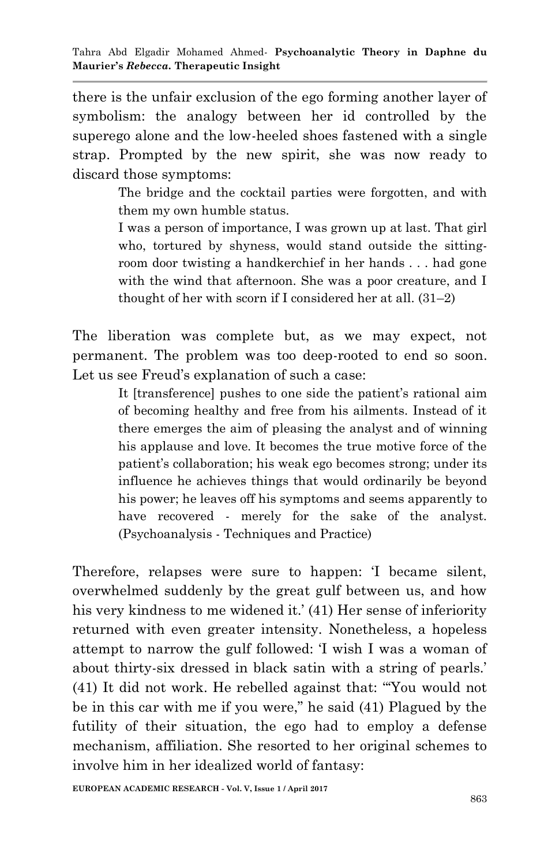there is the unfair exclusion of the ego forming another layer of symbolism: the analogy between her id controlled by the superego alone and the low-heeled shoes fastened with a single strap. Prompted by the new spirit, she was now ready to discard those symptoms:

> The bridge and the cocktail parties were forgotten, and with them my own humble status.

> I was a person of importance, I was grown up at last. That girl who, tortured by shyness, would stand outside the sittingroom door twisting a handkerchief in her hands . . . had gone with the wind that afternoon. She was a poor creature, and I thought of her with scorn if I considered her at all. (31–2)

The liberation was complete but, as we may expect, not permanent. The problem was too deep-rooted to end so soon. Let us see Freud's explanation of such a case:

> It [transference] pushes to one side the patient's rational aim of becoming healthy and free from his ailments. Instead of it there emerges the aim of pleasing the analyst and of winning his applause and love. It becomes the true motive force of the patient's collaboration; his weak ego becomes strong; under its influence he achieves things that would ordinarily be beyond his power; he leaves off his symptoms and seems apparently to have recovered - merely for the sake of the analyst. (Psychoanalysis - Techniques and Practice)

Therefore, relapses were sure to happen: T became silent, overwhelmed suddenly by the great gulf between us, and how his very kindness to me widened it.' (41) Her sense of inferiority returned with even greater intensity. Nonetheless, a hopeless attempt to narrow the gulf followed: ‗I wish I was a woman of about thirty-six dressed in black satin with a string of pearls.' (41) It did not work. He rebelled against that: "You would not be in this car with me if you were," he said (41) Plagued by the futility of their situation, the ego had to employ a defense mechanism, affiliation. She resorted to her original schemes to involve him in her idealized world of fantasy: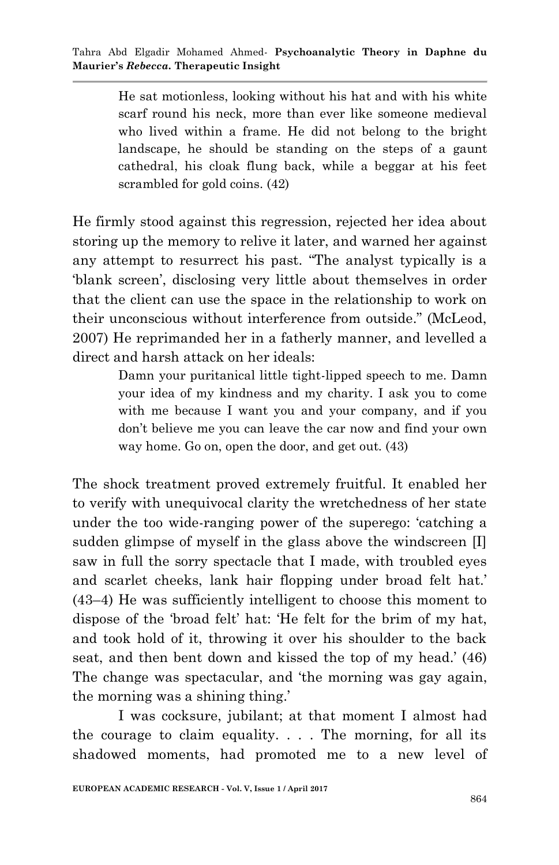He sat motionless, looking without his hat and with his white scarf round his neck, more than ever like someone medieval who lived within a frame. He did not belong to the bright landscape, he should be standing on the steps of a gaunt cathedral, his cloak flung back, while a beggar at his feet scrambled for gold coins. (42)

He firmly stood against this regression, rejected her idea about storing up the memory to relive it later, and warned her against any attempt to resurrect his past. "The analyst typically is a ‗blank screen', disclosing very little about themselves in order that the client can use the space in the relationship to work on their unconscious without interference from outside." (McLeod, 2007) He reprimanded her in a fatherly manner, and levelled a direct and harsh attack on her ideals:

> Damn your puritanical little tight-lipped speech to me. Damn your idea of my kindness and my charity. I ask you to come with me because I want you and your company, and if you don't believe me you can leave the car now and find your own way home. Go on, open the door, and get out. (43)

The shock treatment proved extremely fruitful. It enabled her to verify with unequivocal clarity the wretchedness of her state under the too wide-ranging power of the superego: 'catching a sudden glimpse of myself in the glass above the windscreen [I] saw in full the sorry spectacle that I made, with troubled eyes and scarlet cheeks, lank hair flopping under broad felt hat.' (43–4) He was sufficiently intelligent to choose this moment to dispose of the 'broad felt' hat: 'He felt for the brim of my hat, and took hold of it, throwing it over his shoulder to the back seat, and then bent down and kissed the top of my head.' (46) The change was spectacular, and 'the morning was gay again, the morning was a shining thing.'

I was cocksure, jubilant; at that moment I almost had the courage to claim equality. . . . The morning, for all its shadowed moments, had promoted me to a new level of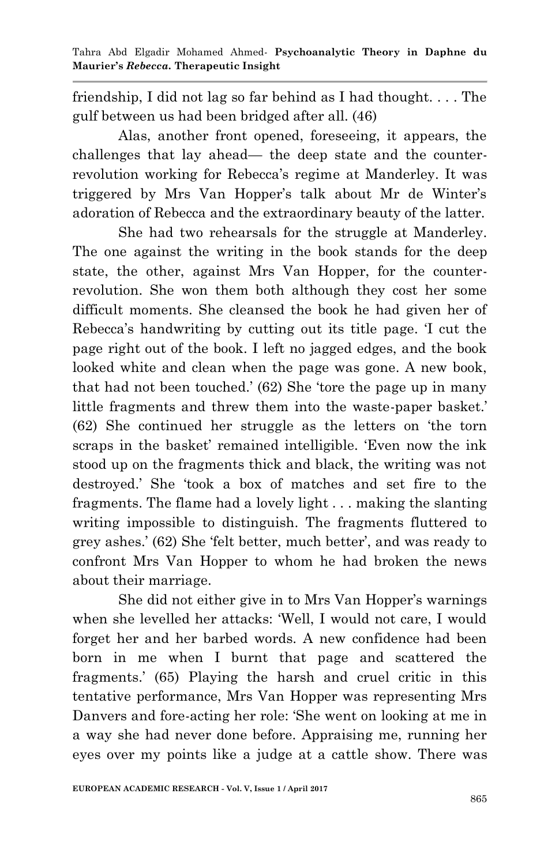friendship, I did not lag so far behind as I had thought. . . . The gulf between us had been bridged after all. (46)

 Alas, another front opened, foreseeing, it appears, the challenges that lay ahead— the deep state and the counterrevolution working for Rebecca's regime at Manderley. It was triggered by Mrs Van Hopper's talk about Mr de Winter's adoration of Rebecca and the extraordinary beauty of the latter.

 She had two rehearsals for the struggle at Manderley. The one against the writing in the book stands for the deep state, the other, against Mrs Van Hopper, for the counterrevolution. She won them both although they cost her some difficult moments. She cleansed the book he had given her of Rebecca's handwriting by cutting out its title page. T cut the page right out of the book. I left no jagged edges, and the book looked white and clean when the page was gone. A new book, that had not been touched.' (62) She 'tore the page up in many little fragments and threw them into the waste-paper basket.' (62) She continued her struggle as the letters on 'the torn scraps in the basket' remained intelligible. Even now the ink stood up on the fragments thick and black, the writing was not destroyed.' She 'took a box of matches and set fire to the fragments. The flame had a lovely light . . . making the slanting writing impossible to distinguish. The fragments fluttered to grey ashes.' (62) She 'felt better, much better', and was ready to confront Mrs Van Hopper to whom he had broken the news about their marriage.

 She did not either give in to Mrs Van Hopper's warnings when she levelled her attacks: 'Well, I would not care, I would forget her and her barbed words. A new confidence had been born in me when I burnt that page and scattered the fragments.' (65) Playing the harsh and cruel critic in this tentative performance, Mrs Van Hopper was representing Mrs Danvers and fore-acting her role: 'She went on looking at me in a way she had never done before. Appraising me, running her eyes over my points like a judge at a cattle show. There was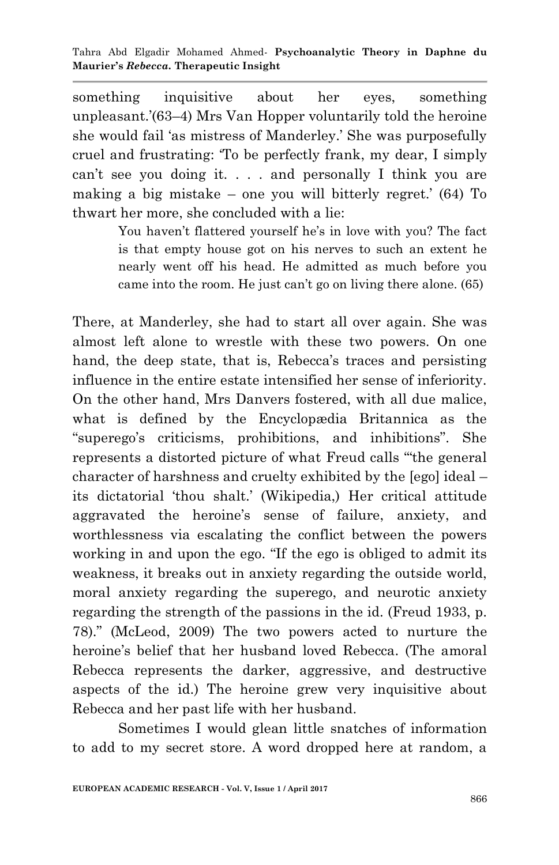something inquisitive about her eyes, something unpleasant.'(63–4) Mrs Van Hopper voluntarily told the heroine she would fail ‗as mistress of Manderley.' She was purposefully cruel and frustrating: ‗To be perfectly frank, my dear, I simply can't see you doing it. . . . and personally I think you are making a big mistake – one you will bitterly regret.' (64) To thwart her more, she concluded with a lie:

> You haven't flattered yourself he's in love with you? The fact is that empty house got on his nerves to such an extent he nearly went off his head. He admitted as much before you came into the room. He just can't go on living there alone. (65)

There, at Manderley, she had to start all over again. She was almost left alone to wrestle with these two powers. On one hand, the deep state, that is, Rebecca's traces and persisting influence in the entire estate intensified her sense of inferiority. On the other hand, Mrs Danvers fostered, with all due malice, what is defined by the Encyclopædia Britannica as the ―superego's criticisms, prohibitions, and inhibitions‖. She represents a distorted picture of what Freud calls "the general character of harshness and cruelty exhibited by the [ego] ideal – its dictatorial 'thou shalt.' (Wikipedia,) Her critical attitude aggravated the heroine's sense of failure, anxiety, and worthlessness via escalating the conflict between the powers working in and upon the ego. "If the ego is obliged to admit its weakness, it breaks out in anxiety regarding the outside world, moral anxiety regarding the superego, and neurotic anxiety regarding the strength of the passions in the id. (Freud 1933, p. 78).‖ (McLeod, 2009) The two powers acted to nurture the heroine's belief that her husband loved Rebecca. (The amoral Rebecca represents the darker, aggressive, and destructive aspects of the id.) The heroine grew very inquisitive about Rebecca and her past life with her husband.

Sometimes I would glean little snatches of information to add to my secret store. A word dropped here at random, a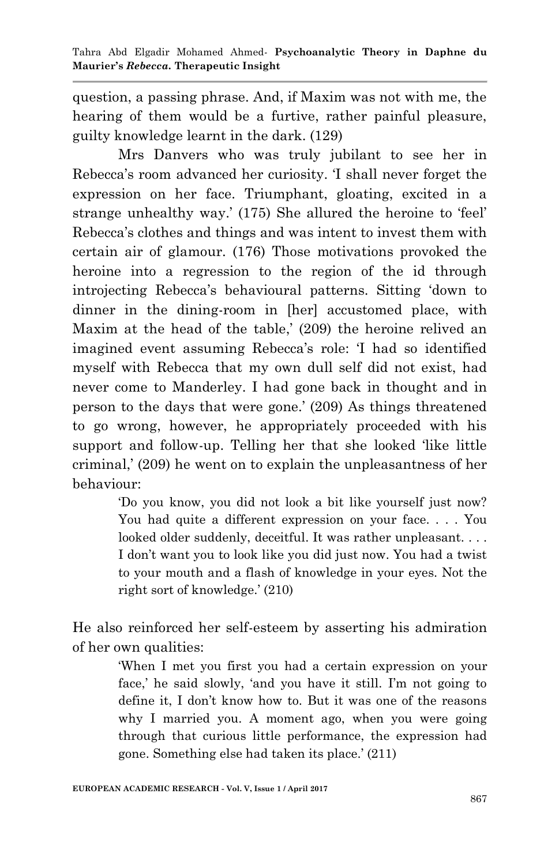question, a passing phrase. And, if Maxim was not with me, the hearing of them would be a furtive, rather painful pleasure, guilty knowledge learnt in the dark. (129)

Mrs Danvers who was truly jubilant to see her in Rebecca's room advanced her curiosity. T shall never forget the expression on her face. Triumphant, gloating, excited in a strange unhealthy way.' (175) She allured the heroine to 'feel' Rebecca's clothes and things and was intent to invest them with certain air of glamour. (176) Those motivations provoked the heroine into a regression to the region of the id through introjecting Rebecca's behavioural patterns. Sitting ‗down to dinner in the dining-room in [her] accustomed place, with Maxim at the head of the table,' (209) the heroine relived an imagined event assuming Rebecca's role: T had so identified myself with Rebecca that my own dull self did not exist, had never come to Manderley. I had gone back in thought and in person to the days that were gone.' (209) As things threatened to go wrong, however, he appropriately proceeded with his support and follow-up. Telling her that she looked 'like little criminal,' (209) he went on to explain the unpleasantness of her behaviour:

> ‗Do you know, you did not look a bit like yourself just now? You had quite a different expression on your face. . . . You looked older suddenly, deceitful. It was rather unpleasant.... I don't want you to look like you did just now. You had a twist to your mouth and a flash of knowledge in your eyes. Not the right sort of knowledge.' (210)

He also reinforced her self-esteem by asserting his admiration of her own qualities:

> ‗When I met you first you had a certain expression on your face,' he said slowly, 'and you have it still. I'm not going to define it, I don't know how to. But it was one of the reasons why I married you. A moment ago, when you were going through that curious little performance, the expression had gone. Something else had taken its place.' (211)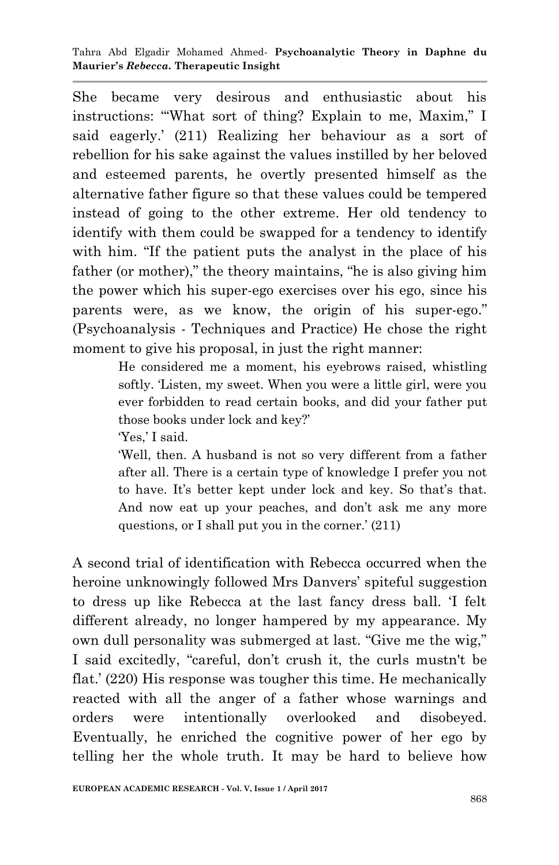Tahra Abd Elgadir Mohamed Ahmed*-* **Psychoanalytic Theory in Daphne du Maurier's** *Rebecca.* **Therapeutic Insight**

She became very desirous and enthusiastic about his instructions: "What sort of thing? Explain to me, Maxim," I said eagerly.' (211) Realizing her behaviour as a sort of rebellion for his sake against the values instilled by her beloved and esteemed parents, he overtly presented himself as the alternative father figure so that these values could be tempered instead of going to the other extreme. Her old tendency to identify with them could be swapped for a tendency to identify with him. "If the patient puts the analyst in the place of his father (or mother)," the theory maintains, "he is also giving him the power which his super-ego exercises over his ego, since his parents were, as we know, the origin of his super-ego." (Psychoanalysis - Techniques and Practice) He chose the right moment to give his proposal, in just the right manner:

> He considered me a moment, his eyebrows raised, whistling softly. Listen, my sweet. When you were a little girl, were you ever forbidden to read certain books, and did your father put those books under lock and key?'

Yes,' I said.

‗Well, then. A husband is not so very different from a father after all. There is a certain type of knowledge I prefer you not to have. It's better kept under lock and key. So that's that. And now eat up your peaches, and don't ask me any more questions, or I shall put you in the corner.' (211)

A second trial of identification with Rebecca occurred when the heroine unknowingly followed Mrs Danvers' spiteful suggestion to dress up like Rebecca at the last fancy dress ball. T felt different already, no longer hampered by my appearance. My own dull personality was submerged at last. "Give me the wig," I said excitedly, "careful, don't crush it, the curls mustn't be flat.' (220) His response was tougher this time. He mechanically reacted with all the anger of a father whose warnings and orders were intentionally overlooked and disobeyed. Eventually, he enriched the cognitive power of her ego by telling her the whole truth. It may be hard to believe how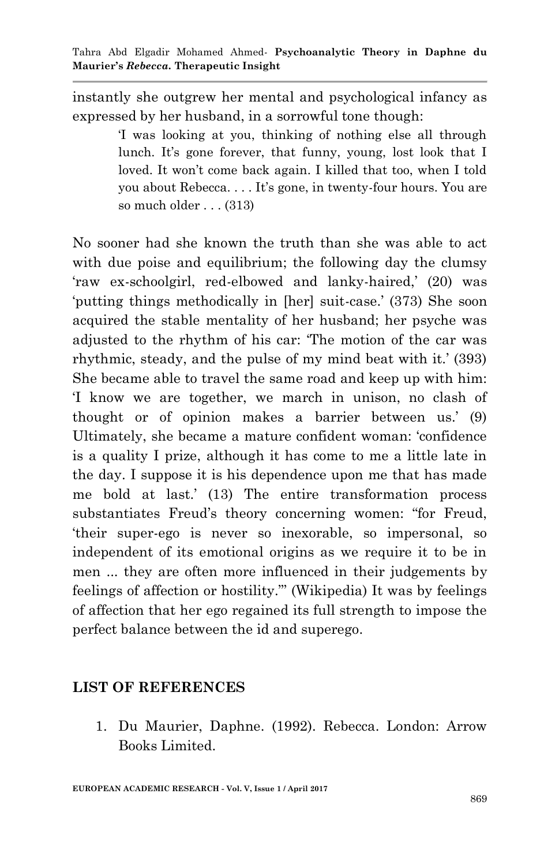instantly she outgrew her mental and psychological infancy as expressed by her husband, in a sorrowful tone though:

> ‗I was looking at you, thinking of nothing else all through lunch. It's gone forever, that funny, young, lost look that I loved. It won't come back again. I killed that too, when I told you about Rebecca. . . . It's gone, in twenty-four hours. You are so much older . . . (313)

No sooner had she known the truth than she was able to act with due poise and equilibrium; the following day the clumsy ‗raw ex-schoolgirl, red-elbowed and lanky-haired,' (20) was ‗putting things methodically in [her] suit-case.' (373) She soon acquired the stable mentality of her husband; her psyche was adjusted to the rhythm of his car: 'The motion of the car was rhythmic, steady, and the pulse of my mind beat with it.' (393) She became able to travel the same road and keep up with him: ‗I know we are together, we march in unison, no clash of thought or of opinion makes a barrier between us.' (9) Ultimately, she became a mature confident woman: ‗confidence is a quality I prize, although it has come to me a little late in the day. I suppose it is his dependence upon me that has made me bold at last.' (13) The entire transformation process substantiates Freud's theory concerning women: "for Freud, ‗their super-ego is never so inexorable, so impersonal, so independent of its emotional origins as we require it to be in men ... they are often more influenced in their judgements by feelings of affection or hostility."' (Wikipedia) It was by feelings of affection that her ego regained its full strength to impose the perfect balance between the id and superego.

## **LIST OF REFERENCES**

1. Du Maurier, Daphne. (1992). Rebecca. London: Arrow Books Limited.

**EUROPEAN ACADEMIC RESEARCH - Vol. V, Issue 1 / April 2017**